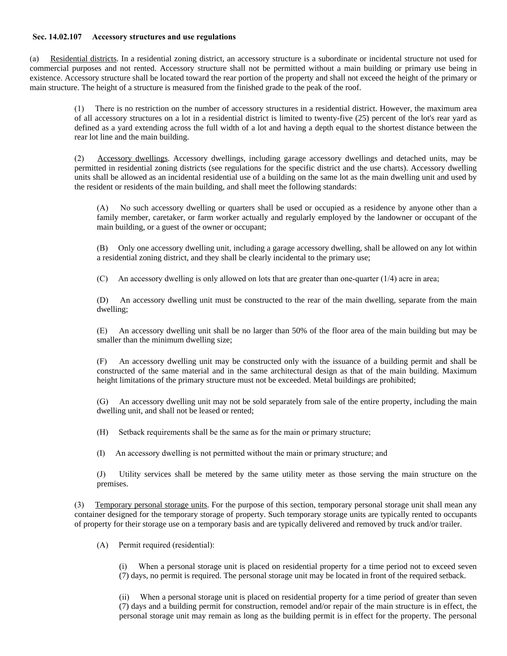## **Sec. 14.02.107 Accessory structures and use regulations**

(a) Residential districts. In a residential zoning district, an accessory structure is a subordinate or incidental structure not used for commercial purposes and not rented. Accessory structure shall not be permitted without a main building or primary use being in existence. Accessory structure shall be located toward the rear portion of the property and shall not exceed the height of the primary or main structure. The height of a structure is measured from the finished grade to the peak of the roof.

> (1) There is no restriction on the number of accessory structures in a residential district. However, the maximum area of all accessory structures on a lot in a residential district is limited to twenty-five (25) percent of the lot's rear yard as defined as a yard extending across the full width of a lot and having a depth equal to the shortest distance between the rear lot line and the main building.

> (2) Accessory dwellings. Accessory dwellings, including garage accessory dwellings and detached units, may be permitted in residential zoning districts (see regulations for the specific district and the use charts). Accessory dwelling units shall be allowed as an incidental residential use of a building on the same lot as the main dwelling unit and used by the resident or residents of the main building, and shall meet the following standards:

(A) No such accessory dwelling or quarters shall be used or occupied as a residence by anyone other than a family member, caretaker, or farm worker actually and regularly employed by the landowner or occupant of the main building, or a guest of the owner or occupant;

(B) Only one accessory dwelling unit, including a garage accessory dwelling, shall be allowed on any lot within a residential zoning district, and they shall be clearly incidental to the primary use;

(C) An accessory dwelling is only allowed on lots that are greater than one-quarter (1/4) acre in area;

(D) An accessory dwelling unit must be constructed to the rear of the main dwelling, separate from the main dwelling;

(E) An accessory dwelling unit shall be no larger than 50% of the floor area of the main building but may be smaller than the minimum dwelling size;

(F) An accessory dwelling unit may be constructed only with the issuance of a building permit and shall be constructed of the same material and in the same architectural design as that of the main building. Maximum height limitations of the primary structure must not be exceeded. Metal buildings are prohibited;

(G) An accessory dwelling unit may not be sold separately from sale of the entire property, including the main dwelling unit, and shall not be leased or rented;

(H) Setback requirements shall be the same as for the main or primary structure;

(I) An accessory dwelling is not permitted without the main or primary structure; and

(J) Utility services shall be metered by the same utility meter as those serving the main structure on the premises.

(3) Temporary personal storage units. For the purpose of this section, temporary personal storage unit shall mean any container designed for the temporary storage of property. Such temporary storage units are typically rented to occupants of property for their storage use on a temporary basis and are typically delivered and removed by truck and/or trailer.

(A) Permit required (residential):

When a personal storage unit is placed on residential property for a time period not to exceed seven (7) days, no permit is required. The personal storage unit may be located in front of the required setback.

(ii) When a personal storage unit is placed on residential property for a time period of greater than seven (7) days and a building permit for construction, remodel and/or repair of the main structure is in effect, the personal storage unit may remain as long as the building permit is in effect for the property. The personal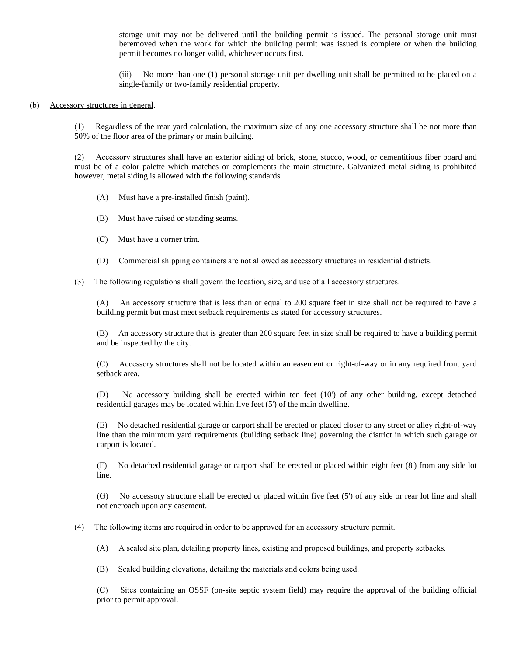storage unit may not be delivered until the building permit is issued. The personal storage unit must beremoved when the work for which the building permit was issued is complete or when the building permit becomes no longer valid, whichever occurs first.

(iii) No more than one (1) personal storage unit per dwelling unit shall be permitted to be placed on a single-family or two-family residential property.

## (b) Accessory structures in general.

(1) Regardless of the rear yard calculation, the maximum size of any one accessory structure shall be not more than 50% of the floor area of the primary or main building.

(2) Accessory structures shall have an exterior siding of brick, stone, stucco, wood, or cementitious fiber board and must be of a color palette which matches or complements the main structure. Galvanized metal siding is prohibited however, metal siding is allowed with the following standards.

- (A) Must have a pre-installed finish (paint).
- (B) Must have raised or standing seams.
- (C) Must have a corner trim.
- (D) Commercial shipping containers are not allowed as accessory structures in residential districts.
- (3) The following regulations shall govern the location, size, and use of all accessory structures.

(A) An accessory structure that is less than or equal to 200 square feet in size shall not be required to have a building permit but must meet setback requirements as stated for accessory structures.

(B) An accessory structure that is greater than 200 square feet in size shall be required to have a building permit and be inspected by the city.

(C) Accessory structures shall not be located within an easement or right-of-way or in any required front yard setback area.

(D) No accessory building shall be erected within ten feet (10') of any other building, except detached residential garages may be located within five feet (5') of the main dwelling.

(E) No detached residential garage or carport shall be erected or placed closer to any street or alley right-of-way line than the minimum yard requirements (building setback line) governing the district in which such garage or carport is located.

(F) No detached residential garage or carport shall be erected or placed within eight feet (8') from any side lot line.

(G) No accessory structure shall be erected or placed within five feet (5') of any side or rear lot line and shall not encroach upon any easement.

(4) The following items are required in order to be approved for an accessory structure permit.

(A) A scaled site plan, detailing property lines, existing and proposed buildings, and property setbacks.

(B) Scaled building elevations, detailing the materials and colors being used.

(C) Sites containing an OSSF (on-site septic system field) may require the approval of the building official prior to permit approval.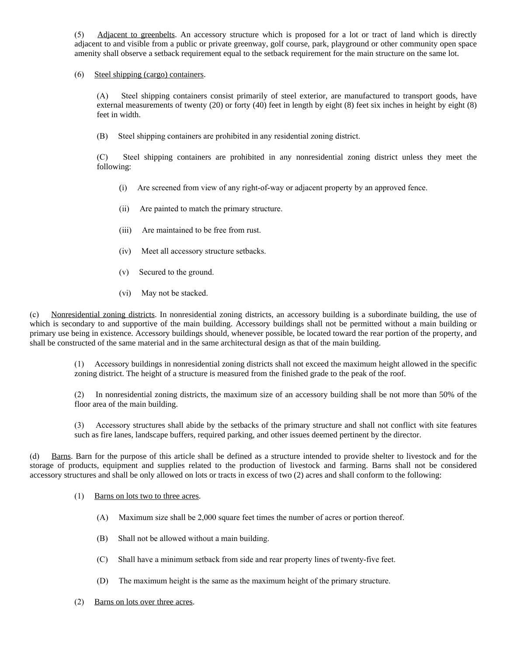(5) Adjacent to greenbelts. An accessory structure which is proposed for a lot or tract of land which is directly adjacent to and visible from a public or private greenway, golf course, park, playground or other community open space amenity shall observe a setback requirement equal to the setback requirement for the main structure on the same lot.

## (6) Steel shipping (cargo) containers.

(A) Steel shipping containers consist primarily of steel exterior, are manufactured to transport goods, have external measurements of twenty (20) or forty (40) feet in length by eight (8) feet six inches in height by eight (8) feet in width.

(B) Steel shipping containers are prohibited in any residential zoning district.

(C) Steel shipping containers are prohibited in any nonresidential zoning district unless they meet the following:

- (i) Are screened from view of any right-of-way or adjacent property by an approved fence.
- (ii) Are painted to match the primary structure.
- (iii) Are maintained to be free from rust.
- (iv) Meet all accessory structure setbacks.
- (v) Secured to the ground.
- (vi) May not be stacked.

(c) Nonresidential zoning districts. In nonresidential zoning districts, an accessory building is a subordinate building, the use of which is secondary to and supportive of the main building. Accessory buildings shall not be permitted without a main building or primary use being in existence. Accessory buildings should, whenever possible, be located toward the rear portion of the property, and shall be constructed of the same material and in the same architectural design as that of the main building.

> (1) Accessory buildings in nonresidential zoning districts shall not exceed the maximum height allowed in the specific zoning district. The height of a structure is measured from the finished grade to the peak of the roof.

> (2) In nonresidential zoning districts, the maximum size of an accessory building shall be not more than 50% of the floor area of the main building.

> (3) Accessory structures shall abide by the setbacks of the primary structure and shall not conflict with site features such as fire lanes, landscape buffers, required parking, and other issues deemed pertinent by the director.

(d) Barns. Barn for the purpose of this article shall be defined as a structure intended to provide shelter to livestock and for the storage of products, equipment and supplies related to the production of livestock and farming. Barns shall not be considered accessory structures and shall be only allowed on lots or tracts in excess of two (2) acres and shall conform to the following:

- (1) Barns on lots two to three acres.
	- (A) Maximum size shall be 2,000 square feet times the number of acres or portion thereof.
	- (B) Shall not be allowed without a main building.
	- (C) Shall have a minimum setback from side and rear property lines of twenty-five feet.
	- (D) The maximum height is the same as the maximum height of the primary structure.
- (2) Barns on lots over three acres.